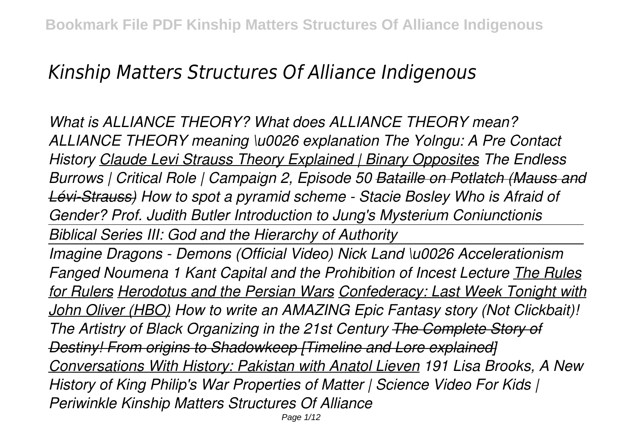# *Kinship Matters Structures Of Alliance Indigenous*

*What is ALLIANCE THEORY? What does ALLIANCE THEORY mean? ALLIANCE THEORY meaning \u0026 explanation The Yolngu: A Pre Contact History Claude Levi Strauss Theory Explained | Binary Opposites The Endless Burrows | Critical Role | Campaign 2, Episode 50 Bataille on Potlatch (Mauss and Lévi-Strauss) How to spot a pyramid scheme - Stacie Bosley Who is Afraid of Gender? Prof. Judith Butler Introduction to Jung's Mysterium Coniunctionis Biblical Series III: God and the Hierarchy of Authority Imagine Dragons - Demons (Official Video) Nick Land \u0026 Accelerationism Fanged Noumena 1 Kant Capital and the Prohibition of Incest Lecture The Rules for Rulers Herodotus and the Persian Wars Confederacy: Last Week Tonight with John Oliver (HBO) How to write an AMAZING Epic Fantasy story (Not Clickbait)! The Artistry of Black Organizing in the 21st Century The Complete Story of Destiny! From origins to Shadowkeep [Timeline and Lore explained] Conversations With History: Pakistan with Anatol Lieven 191 Lisa Brooks, A New History of King Philip's War Properties of Matter | Science Video For Kids | Periwinkle Kinship Matters Structures Of Alliance*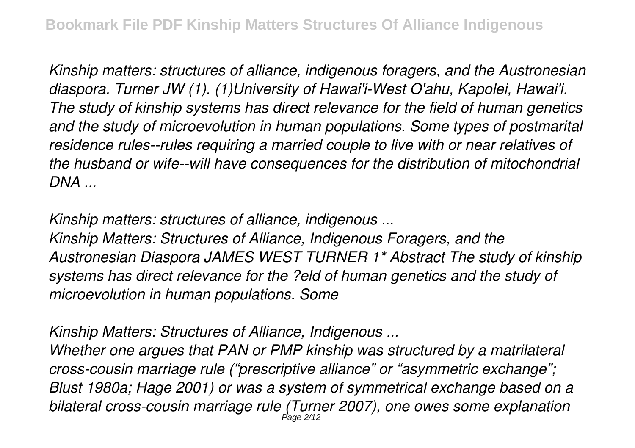*Kinship matters: structures of alliance, indigenous foragers, and the Austronesian diaspora. Turner JW (1). (1)University of Hawai'i-West O'ahu, Kapolei, Hawai'i. The study of kinship systems has direct relevance for the field of human genetics and the study of microevolution in human populations. Some types of postmarital residence rules--rules requiring a married couple to live with or near relatives of the husband or wife--will have consequences for the distribution of mitochondrial DNA ...*

*Kinship matters: structures of alliance, indigenous ...*

*Kinship Matters: Structures of Alliance, Indigenous Foragers, and the Austronesian Diaspora JAMES WEST TURNER 1\* Abstract The study of kinship systems has direct relevance for the ?eld of human genetics and the study of microevolution in human populations. Some*

*Kinship Matters: Structures of Alliance, Indigenous ...*

*Whether one argues that PAN or PMP kinship was structured by a matrilateral cross-cousin marriage rule ("prescriptive alliance" or "asymmetric exchange"; Blust 1980a; Hage 2001) or was a system of symmetrical exchange based on a bilateral cross-cousin marriage rule (Turner 2007), one owes some explanation* Page 2/12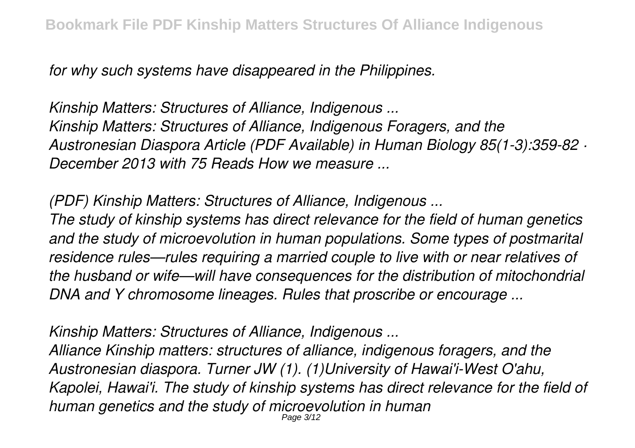*for why such systems have disappeared in the Philippines.*

*Kinship Matters: Structures of Alliance, Indigenous ... Kinship Matters: Structures of Alliance, Indigenous Foragers, and the Austronesian Diaspora Article (PDF Available) in Human Biology 85(1-3):359-82 · December 2013 with 75 Reads How we measure ...*

*(PDF) Kinship Matters: Structures of Alliance, Indigenous ...*

*The study of kinship systems has direct relevance for the field of human genetics and the study of microevolution in human populations. Some types of postmarital residence rules—rules requiring a married couple to live with or near relatives of the husband or wife—will have consequences for the distribution of mitochondrial DNA and Y chromosome lineages. Rules that proscribe or encourage ...*

*Kinship Matters: Structures of Alliance, Indigenous ...*

*Alliance Kinship matters: structures of alliance, indigenous foragers, and the Austronesian diaspora. Turner JW (1). (1)University of Hawai'i-West O'ahu, Kapolei, Hawai'i. The study of kinship systems has direct relevance for the field of human genetics and the study of microevolution in human* Page 3/12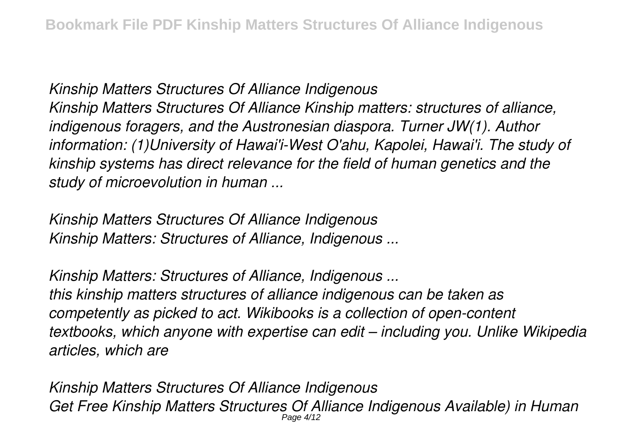*Kinship Matters Structures Of Alliance Indigenous Kinship Matters Structures Of Alliance Kinship matters: structures of alliance, indigenous foragers, and the Austronesian diaspora. Turner JW(1). Author information: (1)University of Hawai'i-West O'ahu, Kapolei, Hawai'i. The study of kinship systems has direct relevance for the field of human genetics and the study of microevolution in human ...*

*Kinship Matters Structures Of Alliance Indigenous Kinship Matters: Structures of Alliance, Indigenous ...*

*Kinship Matters: Structures of Alliance, Indigenous ... this kinship matters structures of alliance indigenous can be taken as competently as picked to act. Wikibooks is a collection of open-content textbooks, which anyone with expertise can edit – including you. Unlike Wikipedia articles, which are*

*Kinship Matters Structures Of Alliance Indigenous Get Free Kinship Matters Structures Of Alliance Indigenous Available) in Human* Page 4/12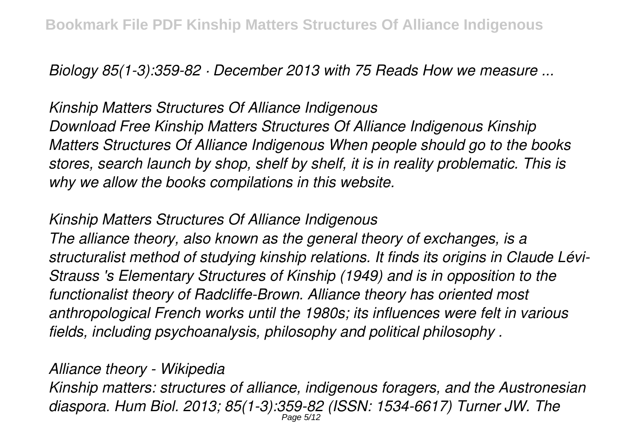*Biology 85(1-3):359-82 · December 2013 with 75 Reads How we measure ...*

*Kinship Matters Structures Of Alliance Indigenous Download Free Kinship Matters Structures Of Alliance Indigenous Kinship Matters Structures Of Alliance Indigenous When people should go to the books stores, search launch by shop, shelf by shelf, it is in reality problematic. This is why we allow the books compilations in this website.*

## *Kinship Matters Structures Of Alliance Indigenous*

*The alliance theory, also known as the general theory of exchanges, is a structuralist method of studying kinship relations. It finds its origins in Claude Lévi-Strauss 's Elementary Structures of Kinship (1949) and is in opposition to the functionalist theory of Radcliffe-Brown. Alliance theory has oriented most anthropological French works until the 1980s; its influences were felt in various fields, including psychoanalysis, philosophy and political philosophy .*

# *Alliance theory - Wikipedia*

*Kinship matters: structures of alliance, indigenous foragers, and the Austronesian diaspora. Hum Biol. 2013; 85(1-3):359-82 (ISSN: 1534-6617) Turner JW. The* Page 5/12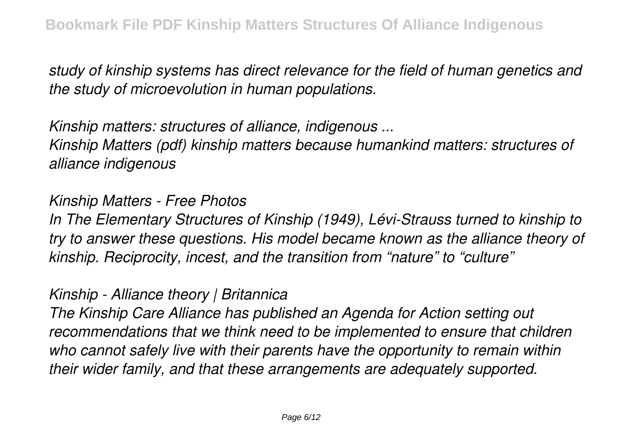*study of kinship systems has direct relevance for the field of human genetics and the study of microevolution in human populations.*

*Kinship matters: structures of alliance, indigenous ...*

*Kinship Matters (pdf) kinship matters because humankind matters: structures of alliance indigenous*

### *Kinship Matters - Free Photos*

*In The Elementary Structures of Kinship (1949), Lévi-Strauss turned to kinship to try to answer these questions. His model became known as the alliance theory of kinship. Reciprocity, incest, and the transition from "nature" to "culture"*

## *Kinship - Alliance theory | Britannica*

*The Kinship Care Alliance has published an Agenda for Action setting out recommendations that we think need to be implemented to ensure that children who cannot safely live with their parents have the opportunity to remain within their wider family, and that these arrangements are adequately supported.*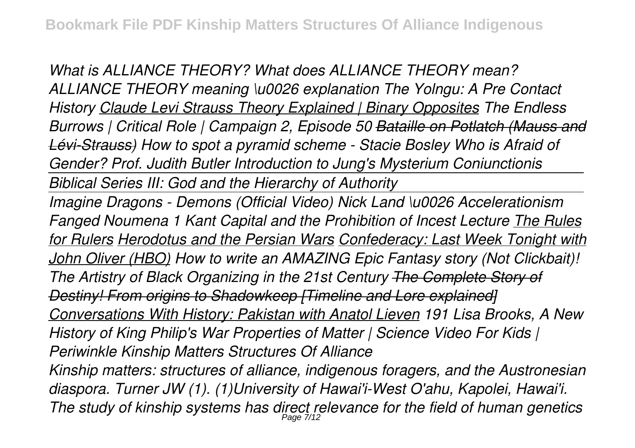*What is ALLIANCE THEORY? What does ALLIANCE THEORY mean? ALLIANCE THEORY meaning \u0026 explanation The Yolngu: A Pre Contact History Claude Levi Strauss Theory Explained | Binary Opposites The Endless Burrows | Critical Role | Campaign 2, Episode 50 Bataille on Potlatch (Mauss and Lévi-Strauss) How to spot a pyramid scheme - Stacie Bosley Who is Afraid of Gender? Prof. Judith Butler Introduction to Jung's Mysterium Coniunctionis Biblical Series III: God and the Hierarchy of Authority Imagine Dragons - Demons (Official Video) Nick Land \u0026 Accelerationism Fanged Noumena 1 Kant Capital and the Prohibition of Incest Lecture The Rules for Rulers Herodotus and the Persian Wars Confederacy: Last Week Tonight with John Oliver (HBO) How to write an AMAZING Epic Fantasy story (Not Clickbait)! The Artistry of Black Organizing in the 21st Century The Complete Story of Destiny! From origins to Shadowkeep [Timeline and Lore explained] Conversations With History: Pakistan with Anatol Lieven 191 Lisa Brooks, A New History of King Philip's War Properties of Matter | Science Video For Kids | Periwinkle Kinship Matters Structures Of Alliance Kinship matters: structures of alliance, indigenous foragers, and the Austronesian diaspora. Turner JW (1). (1)University of Hawai'i-West O'ahu, Kapolei, Hawai'i. The study of kinship systems has direct relevance for the field of human genetics* Page 7/12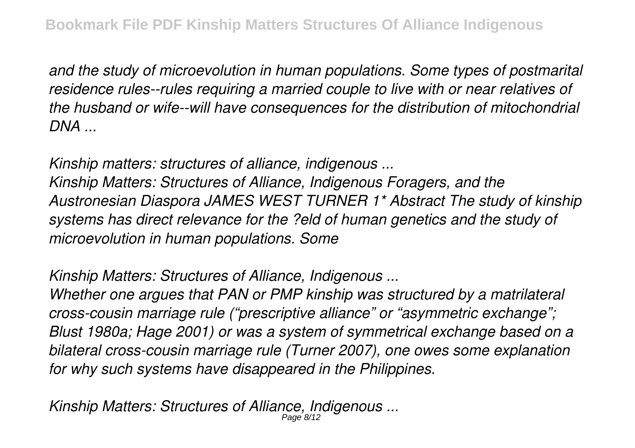*and the study of microevolution in human populations. Some types of postmarital residence rules--rules requiring a married couple to live with or near relatives of the husband or wife--will have consequences for the distribution of mitochondrial DNA ...*

*Kinship matters: structures of alliance, indigenous ...*

*Kinship Matters: Structures of Alliance, Indigenous Foragers, and the Austronesian Diaspora JAMES WEST TURNER 1\* Abstract The study of kinship systems has direct relevance for the ?eld of human genetics and the study of microevolution in human populations. Some*

*Kinship Matters: Structures of Alliance, Indigenous ...*

*Whether one argues that PAN or PMP kinship was structured by a matrilateral cross-cousin marriage rule ("prescriptive alliance" or "asymmetric exchange"; Blust 1980a; Hage 2001) or was a system of symmetrical exchange based on a bilateral cross-cousin marriage rule (Turner 2007), one owes some explanation for why such systems have disappeared in the Philippines.*

*Kinship Matters: Structures of Alliance, Indigenous ...* Page 8/12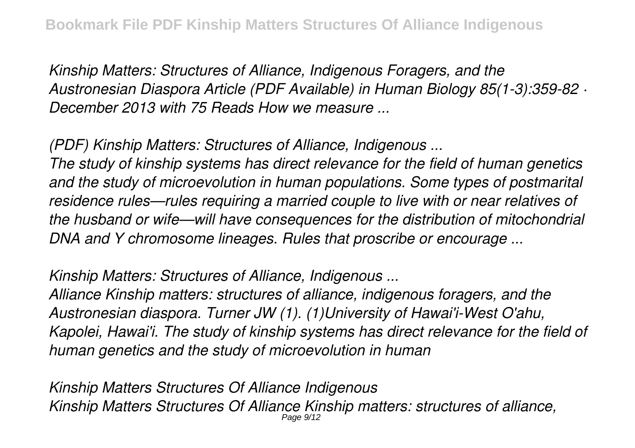*Kinship Matters: Structures of Alliance, Indigenous Foragers, and the Austronesian Diaspora Article (PDF Available) in Human Biology 85(1-3):359-82 · December 2013 with 75 Reads How we measure ...*

*(PDF) Kinship Matters: Structures of Alliance, Indigenous ...*

*The study of kinship systems has direct relevance for the field of human genetics and the study of microevolution in human populations. Some types of postmarital residence rules—rules requiring a married couple to live with or near relatives of the husband or wife—will have consequences for the distribution of mitochondrial DNA and Y chromosome lineages. Rules that proscribe or encourage ...*

*Kinship Matters: Structures of Alliance, Indigenous ...*

*Alliance Kinship matters: structures of alliance, indigenous foragers, and the Austronesian diaspora. Turner JW (1). (1)University of Hawai'i-West O'ahu, Kapolei, Hawai'i. The study of kinship systems has direct relevance for the field of human genetics and the study of microevolution in human*

*Kinship Matters Structures Of Alliance Indigenous Kinship Matters Structures Of Alliance Kinship matters: structures of alliance,* Page 9/12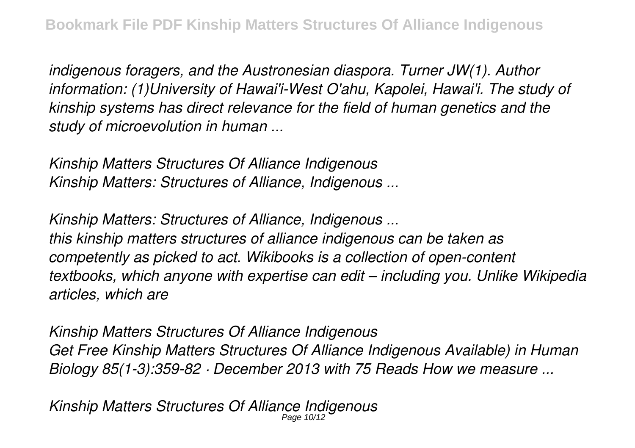*indigenous foragers, and the Austronesian diaspora. Turner JW(1). Author information: (1)University of Hawai'i-West O'ahu, Kapolei, Hawai'i. The study of kinship systems has direct relevance for the field of human genetics and the study of microevolution in human ...*

*Kinship Matters Structures Of Alliance Indigenous Kinship Matters: Structures of Alliance, Indigenous ...*

*Kinship Matters: Structures of Alliance, Indigenous ... this kinship matters structures of alliance indigenous can be taken as competently as picked to act. Wikibooks is a collection of open-content textbooks, which anyone with expertise can edit – including you. Unlike Wikipedia articles, which are*

*Kinship Matters Structures Of Alliance Indigenous Get Free Kinship Matters Structures Of Alliance Indigenous Available) in Human Biology 85(1-3):359-82 · December 2013 with 75 Reads How we measure ...*

*Kinship Matters Structures Of Alliance Indigenous* Page 10/12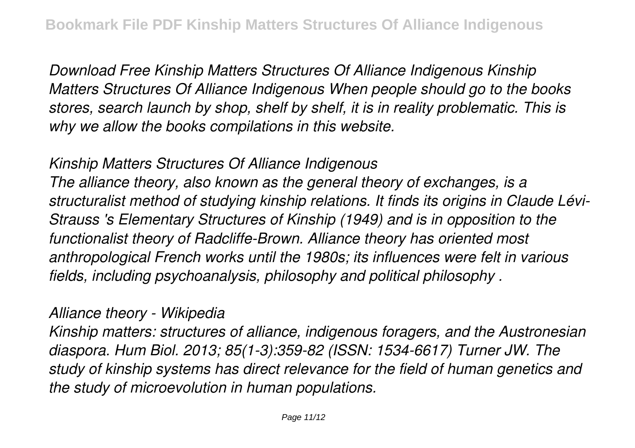*Download Free Kinship Matters Structures Of Alliance Indigenous Kinship Matters Structures Of Alliance Indigenous When people should go to the books stores, search launch by shop, shelf by shelf, it is in reality problematic. This is why we allow the books compilations in this website.*

#### *Kinship Matters Structures Of Alliance Indigenous*

*The alliance theory, also known as the general theory of exchanges, is a structuralist method of studying kinship relations. It finds its origins in Claude Lévi-Strauss 's Elementary Structures of Kinship (1949) and is in opposition to the functionalist theory of Radcliffe-Brown. Alliance theory has oriented most anthropological French works until the 1980s; its influences were felt in various fields, including psychoanalysis, philosophy and political philosophy .*

#### *Alliance theory - Wikipedia*

*Kinship matters: structures of alliance, indigenous foragers, and the Austronesian diaspora. Hum Biol. 2013; 85(1-3):359-82 (ISSN: 1534-6617) Turner JW. The study of kinship systems has direct relevance for the field of human genetics and the study of microevolution in human populations.*